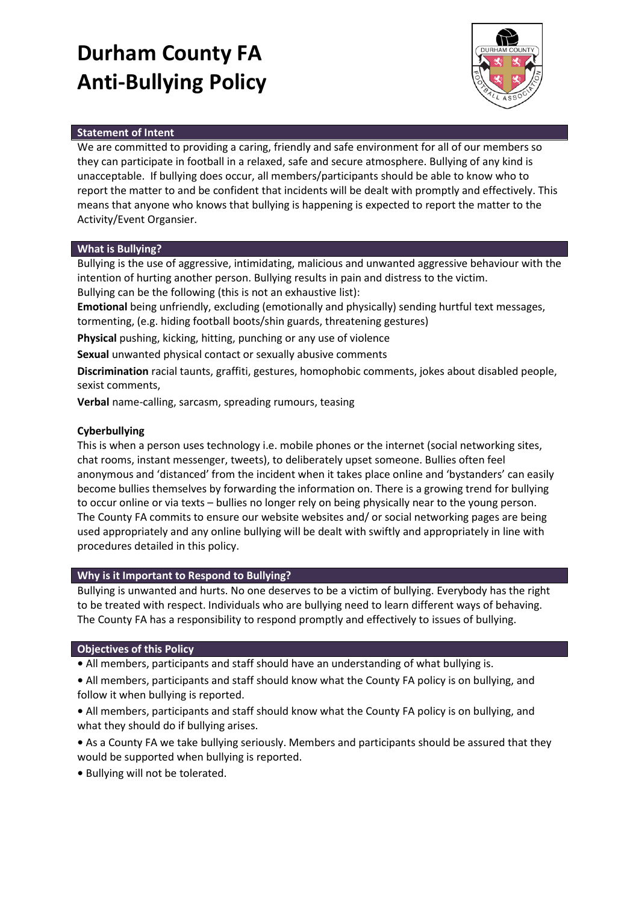# **Durham County FA Anti-Bullying Policy**



### **Statement of Intent**

We are committed to providing a caring, friendly and safe environment for all of our members so they can participate in football in a relaxed, safe and secure atmosphere. Bullying of any kind is unacceptable. If bullying does occur, all members/participants should be able to know who to report the matter to and be confident that incidents will be dealt with promptly and effectively. This means that anyone who knows that bullying is happening is expected to report the matter to the Activity/Event Organsier.

### **What is Bullying?**

Bullying is the use of aggressive, intimidating, malicious and unwanted aggressive behaviour with the intention of hurting another person. Bullying results in pain and distress to the victim. Bullying can be the following (this is not an exhaustive list):

**Emotional** being unfriendly, excluding (emotionally and physically) sending hurtful text messages, tormenting, (e.g. hiding football boots/shin guards, threatening gestures)

**Physical** pushing, kicking, hitting, punching or any use of violence

**Sexual** unwanted physical contact or sexually abusive comments

**Discrimination** racial taunts, graffiti, gestures, homophobic comments, jokes about disabled people, sexist comments,

**Verbal** name-calling, sarcasm, spreading rumours, teasing

### **Cyberbullying**

This is when a person uses technology i.e. mobile phones or the internet (social networking sites, chat rooms, instant messenger, tweets), to deliberately upset someone. Bullies often feel anonymous and 'distanced' from the incident when it takes place online and 'bystanders' can easily become bullies themselves by forwarding the information on. There is a growing trend for bullying to occur online or via texts – bullies no longer rely on being physically near to the young person. The County FA commits to ensure our website websites and/ or social networking pages are being used appropriately and any online bullying will be dealt with swiftly and appropriately in line with procedures detailed in this policy.

### **Why is it Important to Respond to Bullying?**

Bullying is unwanted and hurts. No one deserves to be a victim of bullying. Everybody has the right to be treated with respect. Individuals who are bullying need to learn different ways of behaving. The County FA has a responsibility to respond promptly and effectively to issues of bullying.

### **Objectives of this Policy**

**•** All members, participants and staff should have an understanding of what bullying is.

**•** All members, participants and staff should know what the County FA policy is on bullying, and follow it when bullying is reported.

**•** All members, participants and staff should know what the County FA policy is on bullying, and what they should do if bullying arises.

**•** As a County FA we take bullying seriously. Members and participants should be assured that they would be supported when bullying is reported.

**•** Bullying will not be tolerated.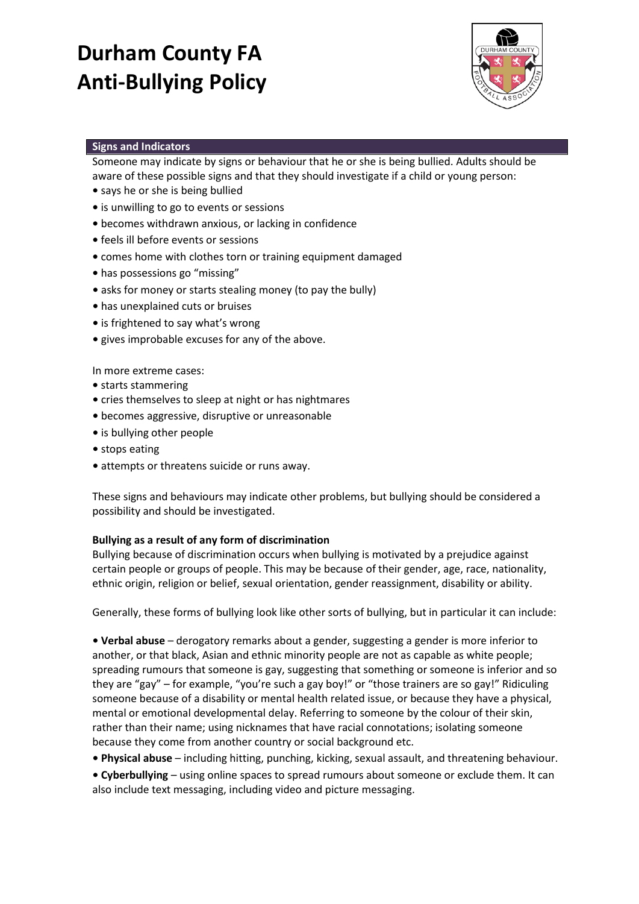# **Durham County FA Anti-Bullying Policy**



### **Signs and Indicators**

Someone may indicate by signs or behaviour that he or she is being bullied. Adults should be aware of these possible signs and that they should investigate if a child or young person:

- says he or she is being bullied
- is unwilling to go to events or sessions
- becomes withdrawn anxious, or lacking in confidence
- feels ill before events or sessions
- comes home with clothes torn or training equipment damaged
- has possessions go "missing"
- asks for money or starts stealing money (to pay the bully)
- has unexplained cuts or bruises
- is frightened to say what's wrong
- gives improbable excuses for any of the above.

In more extreme cases:

- starts stammering
- cries themselves to sleep at night or has nightmares
- becomes aggressive, disruptive or unreasonable
- is bullying other people
- stops eating
- attempts or threatens suicide or runs away.

These signs and behaviours may indicate other problems, but bullying should be considered a possibility and should be investigated.

### **Bullying as a result of any form of discrimination**

Bullying because of discrimination occurs when bullying is motivated by a prejudice against certain people or groups of people. This may be because of their gender, age, race, nationality, ethnic origin, religion or belief, sexual orientation, gender reassignment, disability or ability.

Generally, these forms of bullying look like other sorts of bullying, but in particular it can include:

**• Verbal abuse** – derogatory remarks about a gender, suggesting a gender is more inferior to another, or that black, Asian and ethnic minority people are not as capable as white people; spreading rumours that someone is gay, suggesting that something or someone is inferior and so they are "gay" – for example, "you're such a gay boy!" or "those trainers are so gay!" Ridiculing someone because of a disability or mental health related issue, or because they have a physical, mental or emotional developmental delay. Referring to someone by the colour of their skin, rather than their name; using nicknames that have racial connotations; isolating someone because they come from another country or social background etc.

**• Physical abuse** – including hitting, punching, kicking, sexual assault, and threatening behaviour.

**• Cyberbullying** – using online spaces to spread rumours about someone or exclude them. It can also include text messaging, including video and picture messaging.